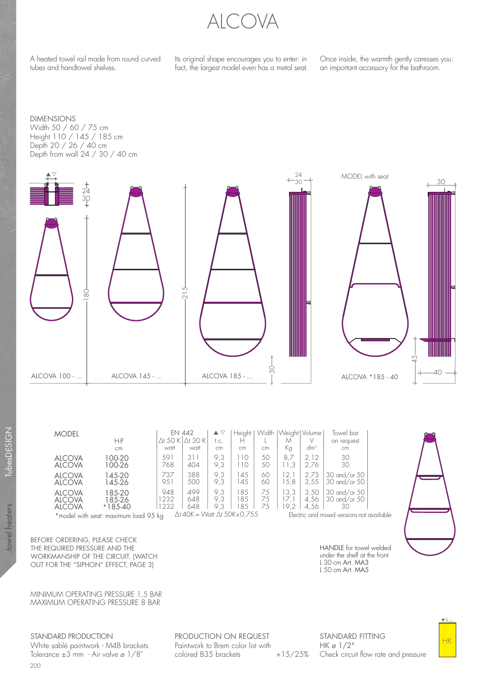

A heated towel rail made from round curved tubes and handtowel shelves.

Its original shape encourages you to enter: in fact, the largest model even has a metal seat.

Once inside, the warmth gently caresses you: an important accessory for the bathroom.

DIMENSIONS Width 50 / 60 / 75 cm Height 110 / 145 / 185 cm Depth 20 / 26 / 40 cm Depth from wall 24 / 30 / 40 cm



|                                                                                                                              | <b>MODEL</b>                                    |                               | <b>EN 442</b>       |                                 | ▲                 | Heiaht         | Width          | Weight   Volume |                      | Towel bar                          |  |
|------------------------------------------------------------------------------------------------------------------------------|-------------------------------------------------|-------------------------------|---------------------|---------------------------------|-------------------|----------------|----------------|-----------------|----------------------|------------------------------------|--|
|                                                                                                                              |                                                 | $H-P$                         |                     | $\Delta$ t 50 K $\Delta$ t 30 K | t.c.              | н              |                | М               |                      | on request                         |  |
|                                                                                                                              |                                                 | cm                            | watt                | watt                            | cm                | cm             | cm             | Кg              | dm <sup>3</sup>      | cm                                 |  |
|                                                                                                                              | <b>ALCOVA</b><br><b>ALCOVA</b>                  | 100-20<br>100-26              | 591<br>768          | 311<br>404                      | 9.3<br>9.3        | 10<br>10       | 50<br>50       | 8.7             | 2.12<br>2.76         | 30<br>30                           |  |
|                                                                                                                              | <b>ALCOVA</b><br><b>ALCOVA</b>                  | 145-20<br>145-26              | 737<br>951          | 388<br>500                      | 9.3<br>9.3        | 45<br>45       | 60<br>60       | 2.<br>5.8       | 2.73<br>3,55         | 30 and/or 50<br>30 and/or 50       |  |
|                                                                                                                              | <b>ALCOVA</b><br><b>ALCOVA</b><br><b>ALCOVA</b> | 185-20<br>185-26<br>$*185-40$ | 948<br>1232<br>1232 | 499<br>648<br>648               | 9.3<br>9.3<br>9.3 | 85<br>85<br>85 | 75<br>75<br>75 | 3.3<br>9.2      | 3.50<br>4.56<br>4.56 | 30 and/or 50<br>30 and/or 50<br>30 |  |
| $\Delta$ t 40K = Watt $\Delta$ t 50K x 0.755<br>Electric and mixed versions not ava<br>*model with seat: maximum load 9.5 kg |                                                 |                               |                     |                                 |                   |                |                |                 |                      |                                    |  |

 $*$ model with seat: maximum load 95 kg  $\Delta t$  40K = Watt  $\Delta t$  50Kx0,755 Electric and mixed versions not available

BEFORE ORDERING, PLEASE CHECK THE REQUIRED PRESSURE AND THE WORKMANSHIP OF THE CIRCUIT. (WATCH OUT FOR THE "SIPHON" EFFECT, PAGE 3)

MINIMUM OPERATING PRESSURE 1,5 BAR MAXIMUM OPERATING PRESSURE 8 BAR

STANDARD PRODUCTION

200 White sablé paintwork - M4B brackets Tolerance  $\pm 3$  mm - Air valve ø  $1/8$ "

PRODUCTION ON REQUEST Paintwork to Brem color list with colored B35 brackets

STANDARD FITTING HK ø 1/2" +15/25% Check circuit flow rate and pressure



HANDLE for towel welded under the shelf at the front L 30 cm Art. MA3 L 50 cm Art. MA5